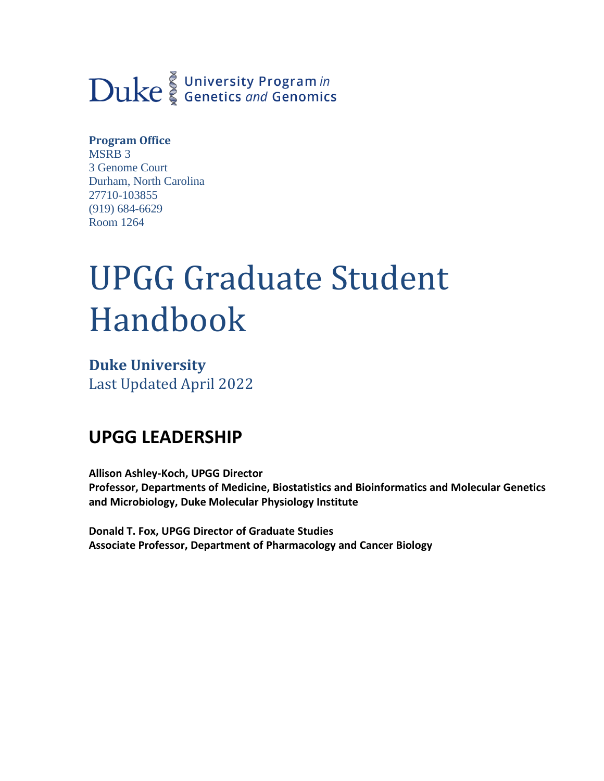# Duke Genetics and Genomics

## **Program Office**

MSRB 3 3 Genome Court Durham, North Carolina 27710-103855 (919) 684-6629 Room 1264

# UPGG Graduate Student Handbook

**Duke University** Last Updated April 2022

# **UPGG LEADERSHIP**

**Allison Ashley-Koch, UPGG Director Professor, Departments of Medicine, Biostatistics and Bioinformatics and Molecular Genetics and Microbiology, Duke Molecular Physiology Institute**

**Donald T. Fox, UPGG Director of Graduate Studies Associate Professor, Department of Pharmacology and Cancer Biology**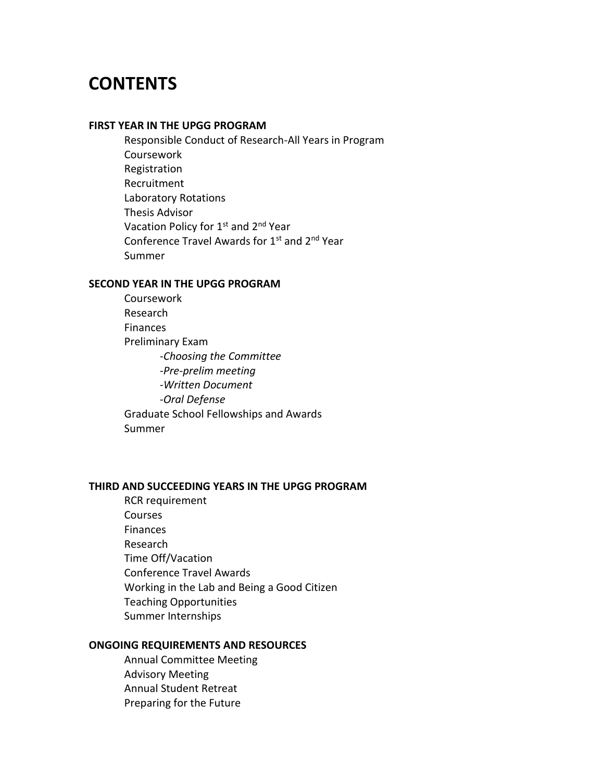# **CONTENTS**

#### **FIRST YEAR IN THE UPGG PROGRAM**

Responsible Conduct of Research-All Years in Program Coursework Registration Recruitment Laboratory Rotations Thesis Advisor Vacation Policy for 1<sup>st</sup> and 2<sup>nd</sup> Year Conference Travel Awards for 1st and 2nd Year Summer

## **SECOND YEAR IN THE UPGG PROGRAM**

Coursework Research Finances Preliminary Exam *-Choosing the Committee -Pre-prelim meeting -Written Document -Oral Defense* Graduate School Fellowships and Awards Summer

## **THIRD AND SUCCEEDING YEARS IN THE UPGG PROGRAM**

RCR requirement Courses Finances Research Time Off/Vacation Conference Travel Awards Working in the Lab and Being a Good Citizen Teaching Opportunities Summer Internships

## **ONGOING REQUIREMENTS AND RESOURCES**

Annual Committee Meeting Advisory Meeting Annual Student Retreat Preparing for the Future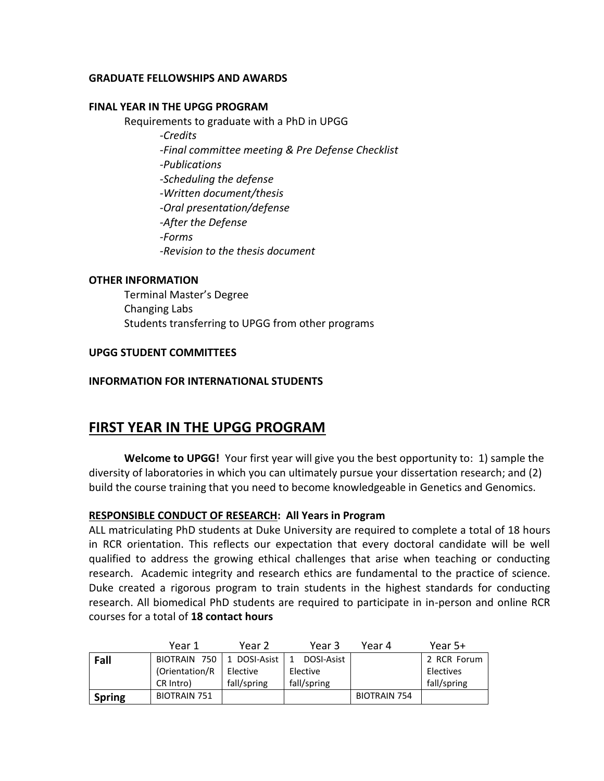## **GRADUATE FELLOWSHIPS AND AWARDS**

## **FINAL YEAR IN THE UPGG PROGRAM**

Requirements to graduate with a PhD in UPGG *-Credits -Final committee meeting & Pre Defense Checklist -Publications -Scheduling the defense -Written document/thesis -Oral presentation/defense -After the Defense -Forms -Revision to the thesis document*

## **OTHER INFORMATION**

Terminal Master's Degree Changing Labs Students transferring to UPGG from other programs

## **UPGG STUDENT COMMITTEES**

## **INFORMATION FOR INTERNATIONAL STUDENTS**

## **FIRST YEAR IN THE UPGG PROGRAM**

**Welcome to UPGG!** Your first year will give you the best opportunity to: 1) sample the diversity of laboratories in which you can ultimately pursue your dissertation research; and (2) build the course training that you need to become knowledgeable in Genetics and Genomics.

## **RESPONSIBLE CONDUCT OF RESEARCH: All Years in Program**

ALL matriculating PhD students at Duke University are required to complete a total of 18 hours in RCR orientation. This reflects our expectation that every doctoral candidate will be well qualified to address the growing ethical challenges that arise when teaching or conducting research. Academic integrity and research ethics are fundamental to the practice of science. Duke created a rigorous program to train students in the highest standards for conducting research. All biomedical PhD students are required to participate in in-person and online RCR courses for a total of **18 contact hours**

|               | Year 1              | Year 2       | Year 3      | Year 4              | Year 5+     |
|---------------|---------------------|--------------|-------------|---------------------|-------------|
| Fall          | BIOTRAIN 750        | 1 DOSI-Asist | DOSI-Asist  |                     | 2 RCR Forum |
|               | (Orientation/R)     | Elective     | Elective    |                     | Electives   |
|               | CR Intro)           | fall/spring  | fall/spring |                     | fall/spring |
| <b>Spring</b> | <b>BIOTRAIN 751</b> |              |             | <b>BIOTRAIN 754</b> |             |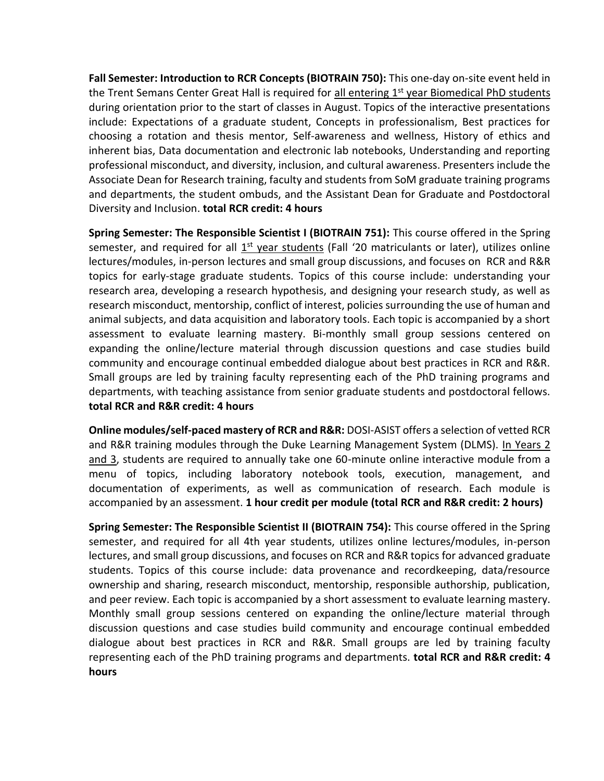**Fall Semester: Introduction to RCR Concepts (BIOTRAIN 750):** This one-day on-site event held in the Trent Semans Center Great Hall is required for all entering 1<sup>st</sup> year Biomedical PhD students during orientation prior to the start of classes in August. Topics of the interactive presentations include: Expectations of a graduate student, Concepts in professionalism, Best practices for choosing a rotation and thesis mentor, Self-awareness and wellness, History of ethics and inherent bias, Data documentation and electronic lab notebooks, Understanding and reporting professional misconduct, and diversity, inclusion, and cultural awareness. Presenters include the Associate Dean for Research training, faculty and students from SoM graduate training programs and departments, the student ombuds, and the Assistant Dean for Graduate and Postdoctoral Diversity and Inclusion. **total RCR credit: 4 hours**

**Spring Semester: The Responsible Scientist I (BIOTRAIN 751):** This course offered in the Spring semester, and required for all 1<sup>st</sup> year students (Fall '20 matriculants or later), utilizes online lectures/modules, in-person lectures and small group discussions, and focuses on RCR and R&R topics for early-stage graduate students. Topics of this course include: understanding your research area, developing a research hypothesis, and designing your research study, as well as research misconduct, mentorship, conflict of interest, policies surrounding the use of human and animal subjects, and data acquisition and laboratory tools. Each topic is accompanied by a short assessment to evaluate learning mastery. Bi-monthly small group sessions centered on expanding the online/lecture material through discussion questions and case studies build community and encourage continual embedded dialogue about best practices in RCR and R&R. Small groups are led by training faculty representing each of the PhD training programs and departments, with teaching assistance from senior graduate students and postdoctoral fellows. **total RCR and R&R credit: 4 hours**

**Online modules/self-paced mastery of RCR and R&R:** DOSI-ASIST offers a selection of vetted RCR and R&R training modules through the Duke Learning Management System (DLMS). In Years 2 and 3, students are required to annually take one 60-minute online interactive module from a menu of topics, including laboratory notebook tools, execution, management, and documentation of experiments, as well as communication of research. Each module is accompanied by an assessment. **1 hour credit per module (total RCR and R&R credit: 2 hours)**

**Spring Semester: The Responsible Scientist II (BIOTRAIN 754):** This course offered in the Spring semester, and required for all 4th year students, utilizes online lectures/modules, in-person lectures, and small group discussions, and focuses on RCR and R&R topics for advanced graduate students. Topics of this course include: data provenance and recordkeeping, data/resource ownership and sharing, research misconduct, mentorship, responsible authorship, publication, and peer review. Each topic is accompanied by a short assessment to evaluate learning mastery. Monthly small group sessions centered on expanding the online/lecture material through discussion questions and case studies build community and encourage continual embedded dialogue about best practices in RCR and R&R. Small groups are led by training faculty representing each of the PhD training programs and departments. **total RCR and R&R credit: 4 hours**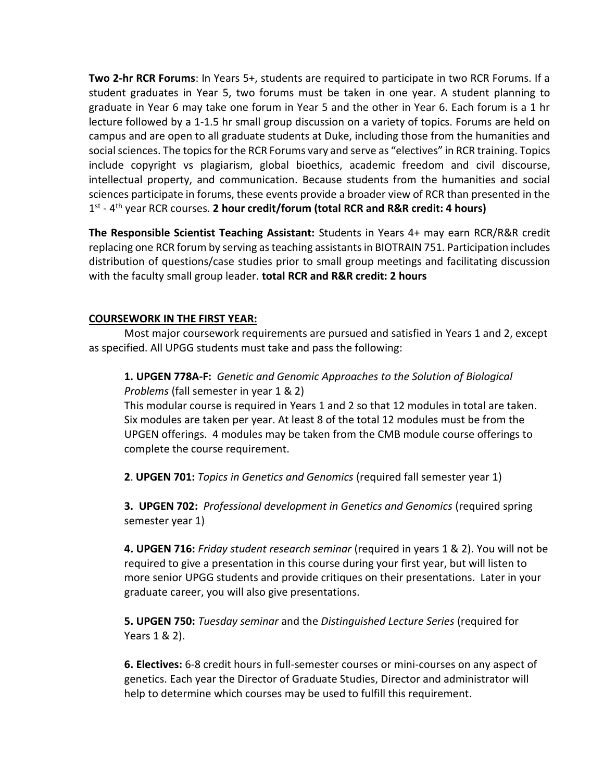**Two 2-hr RCR Forums**: In Years 5+, students are required to participate in two RCR Forums. If a student graduates in Year 5, two forums must be taken in one year. A student planning to graduate in Year 6 may take one forum in Year 5 and the other in Year 6. Each forum is a 1 hr lecture followed by a 1-1.5 hr small group discussion on a variety of topics. Forums are held on campus and are open to all graduate students at Duke, including those from the humanities and social sciences. The topics for the RCR Forums vary and serve as "electives" in RCR training. Topics include copyright vs plagiarism, global bioethics, academic freedom and civil discourse, intellectual property, and communication. Because students from the humanities and social sciences participate in forums, these events provide a broader view of RCR than presented in the 1<sup>st</sup> - 4<sup>th</sup> year RCR courses. 2 hour credit/forum (total RCR and R&R credit: 4 hours)

**The Responsible Scientist Teaching Assistant:** Students in Years 4+ may earn RCR/R&R credit replacing one RCR forum by serving as teaching assistants in BIOTRAIN 751. Participation includes distribution of questions/case studies prior to small group meetings and facilitating discussion with the faculty small group leader. **total RCR and R&R credit: 2 hours**

## **COURSEWORK IN THE FIRST YEAR:**

Most major coursework requirements are pursued and satisfied in Years 1 and 2, except as specified. All UPGG students must take and pass the following:

## **1. UPGEN 778A-F:** *Genetic and Genomic Approaches to the Solution of Biological Problems* (fall semester in year 1 & 2)

This modular course is required in Years 1 and 2 so that 12 modules in total are taken. Six modules are taken per year. At least 8 of the total 12 modules must be from the UPGEN offerings. 4 modules may be taken from the CMB module course offerings to complete the course requirement.

**2**. **UPGEN 701:** *Topics in Genetics and Genomics* (required fall semester year 1)

**3. UPGEN 702:** *Professional development in Genetics and Genomics* (required spring semester year 1)

**4. UPGEN 716:** *Friday student research seminar* (required in years 1 & 2). You will not be required to give a presentation in this course during your first year, but will listen to more senior UPGG students and provide critiques on their presentations. Later in your graduate career, you will also give presentations.

**5. UPGEN 750:** *Tuesday seminar* and the *Distinguished Lecture Series* (required for Years 1 & 2).

**6. Electives:** 6-8 credit hours in full-semester courses or mini-courses on any aspect of genetics. Each year the Director of Graduate Studies, Director and administrator will help to determine which courses may be used to fulfill this requirement.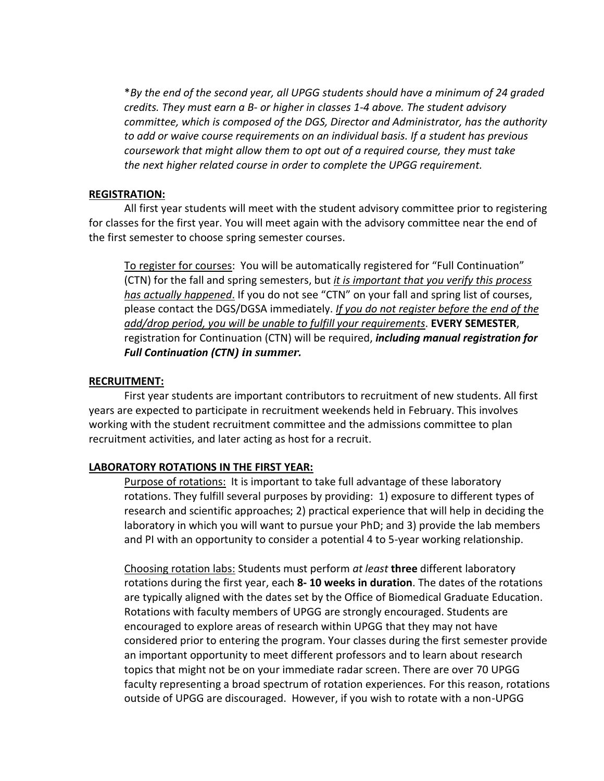\**By the end of the second year, all UPGG students should have a minimum of 24 graded credits. They must earn a B- or higher in classes 1-4 above. The student advisory committee, which is composed of the DGS, Director and Administrator, has the authority to add or waive course requirements on an individual basis. If a student has previous coursework that might allow them to opt out of a required course, they must take the next higher related course in order to complete the UPGG requirement.*

## **REGISTRATION:**

All first year students will meet with the student advisory committee prior to registering for classes for the first year. You will meet again with the advisory committee near the end of the first semester to choose spring semester courses.

To register for courses: You will be automatically registered for "Full Continuation" (CTN) for the fall and spring semesters, but *it is important that you verify this process has actually happened*. If you do not see "CTN" on your fall and spring list of courses, please contact the DGS/DGSA immediately. *If you do not register before the end of the add/drop period, you will be unable to fulfill your requirements*. **EVERY SEMESTER**, registration for Continuation (CTN) will be required, *including manual registration for Full Continuation (CTN) in summer.*

## **RECRUITMENT:**

First year students are important contributors to recruitment of new students. All first years are expected to participate in recruitment weekends held in February. This involves working with the student recruitment committee and the admissions committee to plan recruitment activities, and later acting as host for a recruit.

## **LABORATORY ROTATIONS IN THE FIRST YEAR:**

Purpose of rotations: It is important to take full advantage of these laboratory rotations. They fulfill several purposes by providing: 1) exposure to different types of research and scientific approaches; 2) practical experience that will help in deciding the laboratory in which you will want to pursue your PhD; and 3) provide the lab members and PI with an opportunity to consider a potential 4 to 5-year working relationship.

Choosing rotation labs: Students must perform *at least* **three** different laboratory rotations during the first year, each **8- 10 weeks in duration**. The dates of the rotations are typically aligned with the dates set by the Office of Biomedical Graduate Education. Rotations with faculty members of UPGG are strongly encouraged. Students are encouraged to explore areas of research within UPGG that they may not have considered prior to entering the program. Your classes during the first semester provide an important opportunity to meet different professors and to learn about research topics that might not be on your immediate radar screen. There are over 70 UPGG faculty representing a broad spectrum of rotation experiences. For this reason, rotations outside of UPGG are discouraged. However, if you wish to rotate with a non-UPGG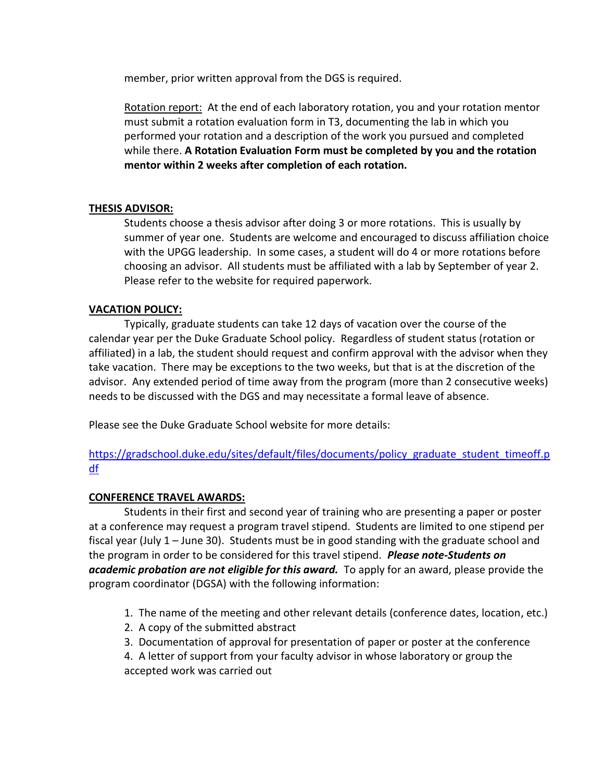member, prior written approval from the DGS is required.

Rotation report: At the end of each laboratory rotation, you and your rotation mentor must submit a rotation evaluation form in T3, documenting the lab in which you performed your rotation and a description of the work you pursued and completed while there. **A Rotation Evaluation Form must be completed by you and the rotation mentor within 2 weeks after completion of each rotation.**

## **THESIS ADVISOR:**

Students choose a thesis advisor after doing 3 or more rotations. This is usually by summer of year one. Students are welcome and encouraged to discuss affiliation choice with the UPGG leadership. In some cases, a student will do 4 or more rotations before choosing an advisor. All students must be affiliated with a lab by September of year 2. Please refer to the website for required paperwork.

## **VACATION POLICY:**

Typically, graduate students can take 12 days of vacation over the course of the calendar year per the Duke Graduate School policy. Regardless of student status (rotation or affiliated) in a lab, the student should request and confirm approval with the advisor when they take vacation. There may be exceptions to the two weeks, but that is at the discretion of the advisor. Any extended period of time away from the program (more than 2 consecutive weeks) needs to be discussed with the DGS and may necessitate a formal leave of absence.

Please see the Duke Graduate School website for more details:

[https://gradschool.duke.edu/sites/default/files/documents/policy\\_graduate\\_student\\_timeoff.p](https://gradschool.duke.edu/sites/default/files/documents/policy_graduate_student_timeoff.pdf) [df](https://gradschool.duke.edu/sites/default/files/documents/policy_graduate_student_timeoff.pdf)

## **CONFERENCE TRAVEL AWARDS:**

Students in their first and second year of training who are presenting a paper or poster at a conference may request a program travel stipend. Students are limited to one stipend per fiscal year (July 1 – June 30). Students must be in good standing with the graduate school and the program in order to be considered for this travel stipend. *Please note-Students on academic probation are not eligible for this award.* To apply for an award, please provide the program coordinator (DGSA) with the following information:

- 1. The name of the meeting and other relevant details (conference dates, location, etc.)
- 2. A copy of the submitted abstract
- 3. Documentation of approval for presentation of paper or poster at the conference

4. A letter of support from your faculty advisor in whose laboratory or group the accepted work was carried out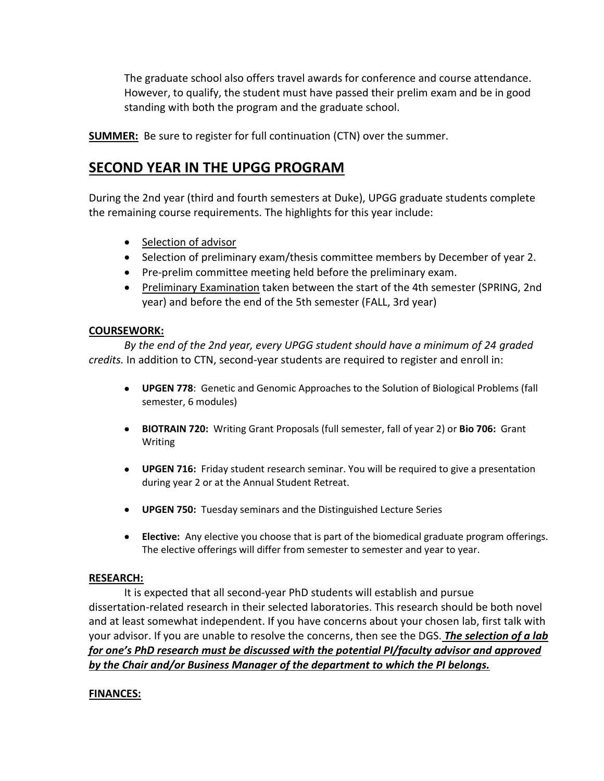The graduate school also offers travel awards for conference and course attendance. However, to qualify, the student must have passed their prelim exam and be in good standing with both the program and the graduate school.

**SUMMER:** Be sure to register for full continuation (CTN) over the summer.

# **SECOND YEAR IN THE UPGG PROGRAM**

During the 2nd year (third and fourth semesters at Duke), UPGG graduate students complete the remaining course requirements. The highlights for this year include:

- Selection of advisor
- Selection of preliminary exam/thesis committee members by December of year 2.
- Pre-prelim committee meeting held before the preliminary exam.
- Preliminary Examination taken between the start of the 4th semester (SPRING, 2nd year) and before the end of the 5th semester (FALL, 3rd year)

## **COURSEWORK:**

*By the end of the 2nd year, every UPGG student should have a minimum of 24 graded credits.* In addition to CTN, second-year students are required to register and enroll in:

- **UPGEN 778**: Genetic and Genomic Approaches to the Solution of Biological Problems (fall semester, 6 modules)
- **BIOTRAIN 720:** Writing Grant Proposals (full semester, fall of year 2) or **Bio 706:** Grant Writing
- **UPGEN 716:** Friday student research seminar. You will be required to give a presentation during year 2 or at the Annual Student Retreat.
- **UPGEN 750:** Tuesday seminars and the Distinguished Lecture Series
- **Elective:** Any elective you choose that is part of the biomedical graduate program offerings. The elective offerings will differ from semester to semester and year to year.

## **RESEARCH:**

It is expected that all second-year PhD students will establish and pursue dissertation-related research in their selected laboratories. This research should be both novel and at least somewhat independent. If you have concerns about your chosen lab, first talk with your advisor. If you are unable to resolve the concerns, then see the DGS. *The selection of a lab for one's PhD research must be discussed with the potential PI/faculty advisor and approved by the Chair and/or Business Manager of the department to which the PI belongs.*

## **FINANCES:**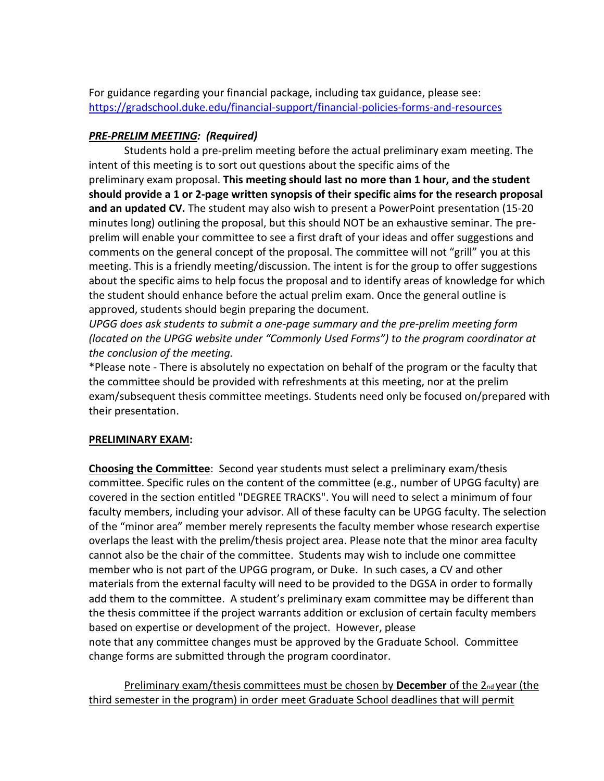For guidance regarding your financial package, including tax guidance, please see: <https://gradschool.duke.edu/financial-support/financial-policies-forms-and-resources>

## *PRE-PRELIM MEETING: (Required)*

Students hold a pre-prelim meeting before the actual preliminary exam meeting. The intent of this meeting is to sort out questions about the specific aims of the preliminary exam proposal. **This meeting should last no more than 1 hour, and the student should provide a 1 or 2-page written synopsis of their specific aims for the research proposal and an updated CV.** The student may also wish to present a PowerPoint presentation (15-20 minutes long) outlining the proposal, but this should NOT be an exhaustive seminar. The preprelim will enable your committee to see a first draft of your ideas and offer suggestions and comments on the general concept of the proposal. The committee will not "grill" you at this meeting. This is a friendly meeting/discussion. The intent is for the group to offer suggestions about the specific aims to help focus the proposal and to identify areas of knowledge for which the student should enhance before the actual prelim exam. Once the general outline is approved, students should begin preparing the document*.*

*UPGG does ask students to submit a one-page summary and the pre-prelim meeting form (located on the UPGG website under "Commonly Used Forms") to the program coordinator at the conclusion of the meeting.*

\*Please note - There is absolutely no expectation on behalf of the program or the faculty that the committee should be provided with refreshments at this meeting, nor at the prelim exam/subsequent thesis committee meetings. Students need only be focused on/prepared with their presentation.

## **PRELIMINARY EXAM:**

**Choosing the Committee**: Second year students must select a preliminary exam/thesis committee. Specific rules on the content of the committee (e.g., number of UPGG faculty) are covered in the section entitled "DEGREE TRACKS". You will need to select a minimum of four faculty members, including your advisor. All of these faculty can be UPGG faculty. The selection of the "minor area" member merely represents the faculty member whose research expertise overlaps the least with the prelim/thesis project area. Please note that the minor area faculty cannot also be the chair of the committee. Students may wish to include one committee member who is not part of the UPGG program, or Duke. In such cases, a CV and other materials from the external faculty will need to be provided to the DGSA in order to formally add them to the committee. A student's preliminary exam committee may be different than the thesis committee if the project warrants addition or exclusion of certain faculty members based on expertise or development of the project. However, please note that any committee changes must be approved by the Graduate School. Committee change forms are submitted through the program coordinator.

Preliminary exam/thesis committees must be chosen by **December** of the 2<sub>nd</sub> year (the third semester in the program) in order meet Graduate School deadlines that will permit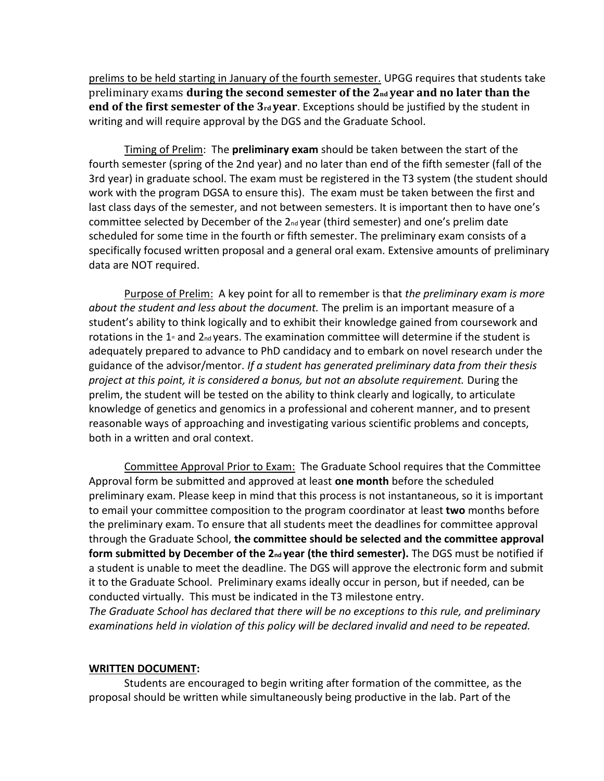prelims to be held starting in January of the fourth semester. UPGG requires that students take preliminary exams **during the second semester of the 2**<sup>nd</sup> **year and no later than the end of the first semester of the 3**<sup>rd</sup> **year**. Exceptions should be justified by the student in writing and will require approval by the DGS and the Graduate School.

Timing of Prelim: The **preliminary exam** should be taken between the start of the fourth semester (spring of the 2nd year) and no later than end of the fifth semester (fall of the 3rd year) in graduate school. The exam must be registered in the T3 system (the student should work with the program DGSA to ensure this). The exam must be taken between the first and last class days of the semester, and not between semesters. It is important then to have one's committee selected by December of the 2<sub>nd</sub> year (third semester) and one's prelim date scheduled for some time in the fourth or fifth semester. The preliminary exam consists of a specifically focused written proposal and a general oral exam. Extensive amounts of preliminary data are NOT required.

Purpose of Prelim: A key point for all to remember is that *the preliminary exam is more about the student and less about the document.* The prelim is an important measure of a student's ability to think logically and to exhibit their knowledge gained from coursework and rotations in the  $1<sub>st</sub>$  and  $2<sub>nd</sub>$  years. The examination committee will determine if the student is adequately prepared to advance to PhD candidacy and to embark on novel research under the guidance of the advisor/mentor. *If a student has generated preliminary data from their thesis project at this point, it is considered a bonus, but not an absolute requirement.* During the prelim, the student will be tested on the ability to think clearly and logically, to articulate knowledge of genetics and genomics in a professional and coherent manner, and to present reasonable ways of approaching and investigating various scientific problems and concepts, both in a written and oral context.

Committee Approval Prior to Exam: The Graduate School requires that the Committee Approval form be submitted and approved at least **one month** before the scheduled preliminary exam. Please keep in mind that this process is not instantaneous, so it is important to email your committee composition to the program coordinator at least **two** months before the preliminary exam. To ensure that all students meet the deadlines for committee approval through the Graduate School, **the committee should be selected and the committee approval form submitted by December of the 2nd year (the third semester).** The DGS must be notified if a student is unable to meet the deadline. The DGS will approve the electronic form and submit it to the Graduate School. Preliminary exams ideally occur in person, but if needed, can be conducted virtually. This must be indicated in the T3 milestone entry.

*The Graduate School has declared that there will be no exceptions to this rule, and preliminary examinations held in violation of this policy will be declared invalid and need to be repeated.*

## **WRITTEN DOCUMENT:**

Students are encouraged to begin writing after formation of the committee, as the proposal should be written while simultaneously being productive in the lab. Part of the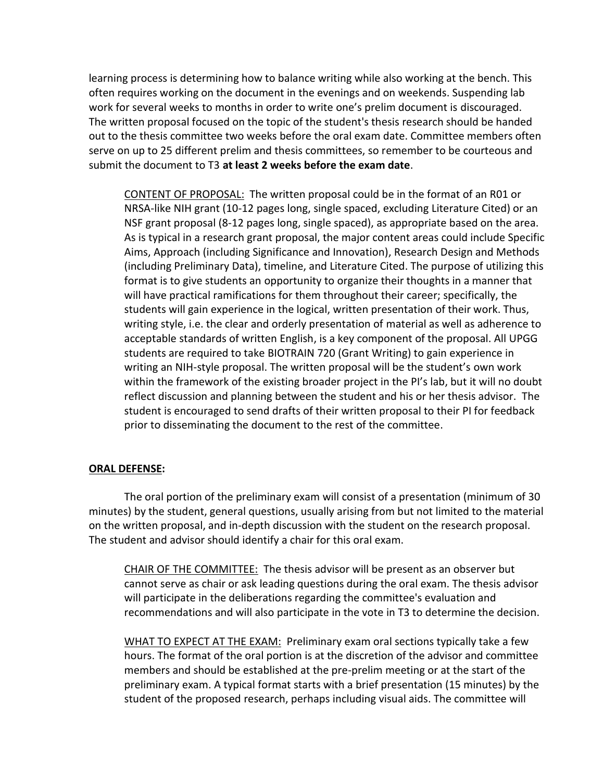learning process is determining how to balance writing while also working at the bench. This often requires working on the document in the evenings and on weekends. Suspending lab work for several weeks to months in order to write one's prelim document is discouraged. The written proposal focused on the topic of the student's thesis research should be handed out to the thesis committee two weeks before the oral exam date. Committee members often serve on up to 25 different prelim and thesis committees, so remember to be courteous and submit the document to T3 **at least 2 weeks before the exam date**.

CONTENT OF PROPOSAL: The written proposal could be in the format of an R01 or NRSA-like NIH grant (10-12 pages long, single spaced, excluding Literature Cited) or an NSF grant proposal (8-12 pages long, single spaced), as appropriate based on the area. As is typical in a research grant proposal, the major content areas could include Specific Aims, Approach (including Significance and Innovation), Research Design and Methods (including Preliminary Data), timeline, and Literature Cited. The purpose of utilizing this format is to give students an opportunity to organize their thoughts in a manner that will have practical ramifications for them throughout their career; specifically, the students will gain experience in the logical, written presentation of their work. Thus, writing style, i.e. the clear and orderly presentation of material as well as adherence to acceptable standards of written English, is a key component of the proposal. All UPGG students are required to take BIOTRAIN 720 (Grant Writing) to gain experience in writing an NIH-style proposal. The written proposal will be the student's own work within the framework of the existing broader project in the PI's lab, but it will no doubt reflect discussion and planning between the student and his or her thesis advisor. The student is encouraged to send drafts of their written proposal to their PI for feedback prior to disseminating the document to the rest of the committee.

## **ORAL DEFENSE:**

The oral portion of the preliminary exam will consist of a presentation (minimum of 30 minutes) by the student, general questions, usually arising from but not limited to the material on the written proposal, and in-depth discussion with the student on the research proposal. The student and advisor should identify a chair for this oral exam.

CHAIR OF THE COMMITTEE: The thesis advisor will be present as an observer but cannot serve as chair or ask leading questions during the oral exam. The thesis advisor will participate in the deliberations regarding the committee's evaluation and recommendations and will also participate in the vote in T3 to determine the decision.

WHAT TO EXPECT AT THE EXAM: Preliminary exam oral sections typically take a few hours. The format of the oral portion is at the discretion of the advisor and committee members and should be established at the pre-prelim meeting or at the start of the preliminary exam. A typical format starts with a brief presentation (15 minutes) by the student of the proposed research, perhaps including visual aids. The committee will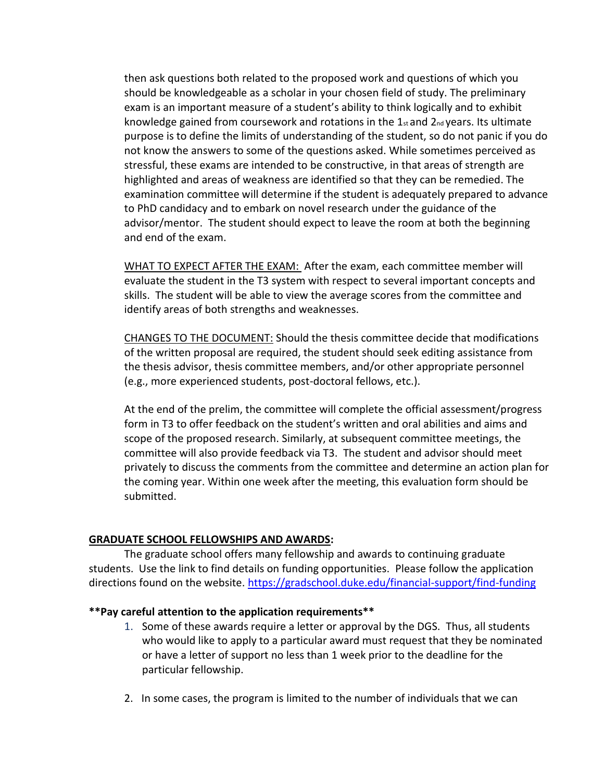then ask questions both related to the proposed work and questions of which you should be knowledgeable as a scholar in your chosen field of study. The preliminary exam is an important measure of a student's ability to think logically and to exhibit knowledge gained from coursework and rotations in the  $1_{st}$  and  $2_{nd}$  years. Its ultimate purpose is to define the limits of understanding of the student, so do not panic if you do not know the answers to some of the questions asked. While sometimes perceived as stressful, these exams are intended to be constructive, in that areas of strength are highlighted and areas of weakness are identified so that they can be remedied. The examination committee will determine if the student is adequately prepared to advance to PhD candidacy and to embark on novel research under the guidance of the advisor/mentor. The student should expect to leave the room at both the beginning and end of the exam.

WHAT TO EXPECT AFTER THE EXAM: After the exam, each committee member will evaluate the student in the T3 system with respect to several important concepts and skills. The student will be able to view the average scores from the committee and identify areas of both strengths and weaknesses.

CHANGES TO THE DOCUMENT: Should the thesis committee decide that modifications of the written proposal are required, the student should seek editing assistance from the thesis advisor, thesis committee members, and/or other appropriate personnel (e.g., more experienced students, post-doctoral fellows, etc.).

At the end of the prelim, the committee will complete the official assessment/progress form in T3 to offer feedback on the student's written and oral abilities and aims and scope of the proposed research. Similarly, at subsequent committee meetings, the committee will also provide feedback via T3. The student and advisor should meet privately to discuss the comments from the committee and determine an action plan for the coming year. Within one week after the meeting, this evaluation form should be submitted.

## **GRADUATE SCHOOL FELLOWSHIPS AND AWARDS:**

The graduate school offers many fellowship and awards to continuing graduate students. Use the link to find details on funding opportunities. Please follow the application directions found on the website. <https://gradschool.duke.edu/financial-support/find-funding>

## **\*\*Pay careful attention to the application requirements\*\***

- 1. Some of these awards require a letter or approval by the DGS. Thus, all students who would like to apply to a particular award must request that they be nominated or have a letter of support no less than 1 week prior to the deadline for the particular fellowship.
- 2. In some cases, the program is limited to the number of individuals that we can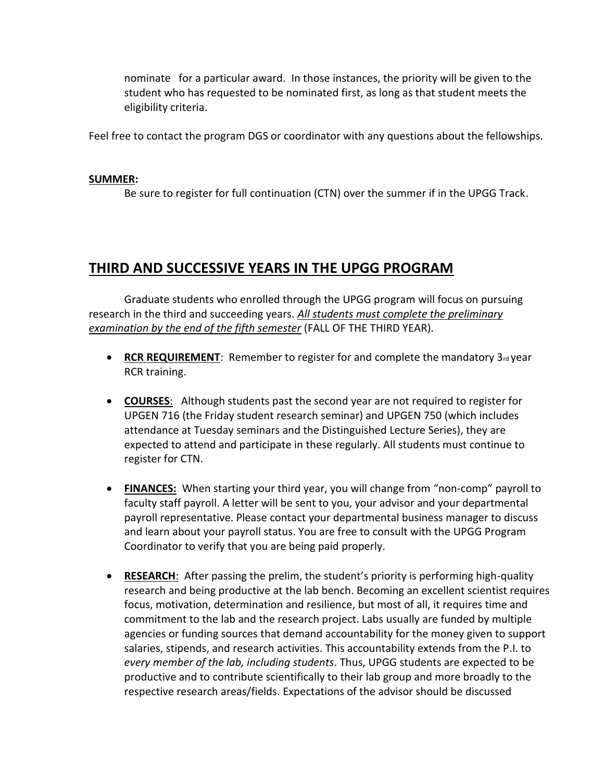nominate for a particular award. In those instances, the priority will be given to the student who has requested to be nominated first, as long as that student meets the eligibility criteria.

Feel free to contact the program DGS or coordinator with any questions about the fellowships.

## **SUMMER:**

Be sure to register for full continuation (CTN) over the summer if in the UPGG Track.

## **THIRD AND SUCCESSIVE YEARS IN THE UPGG PROGRAM**

Graduate students who enrolled through the UPGG program will focus on pursuing research in the third and succeeding years. *All students must complete the preliminary examination by the end of the fifth semester* (FALL OF THE THIRD YEAR).

- RCR REQUIREMENT: Remember to register for and complete the mandatory 3rd year RCR training.
- **COURSES**: Although students past the second year are not required to register for UPGEN 716 (the Friday student research seminar) and UPGEN 750 (which includes attendance at Tuesday seminars and the Distinguished Lecture Series), they are expected to attend and participate in these regularly. All students must continue to register for CTN.
- **FINANCES:** When starting your third year, you will change from "non-comp" payroll to faculty staff payroll. A letter will be sent to you, your advisor and your departmental payroll representative. Please contact your departmental business manager to discuss and learn about your payroll status. You are free to consult with the UPGG Program Coordinator to verify that you are being paid properly.
- **RESEARCH**: After passing the prelim, the student's priority is performing high-quality research and being productive at the lab bench. Becoming an excellent scientist requires focus, motivation, determination and resilience, but most of all, it requires time and commitment to the lab and the research project. Labs usually are funded by multiple agencies or funding sources that demand accountability for the money given to support salaries, stipends, and research activities. This accountability extends from the P.I. to *every member of the lab, including students*. Thus, UPGG students are expected to be productive and to contribute scientifically to their lab group and more broadly to the respective research areas/fields. Expectations of the advisor should be discussed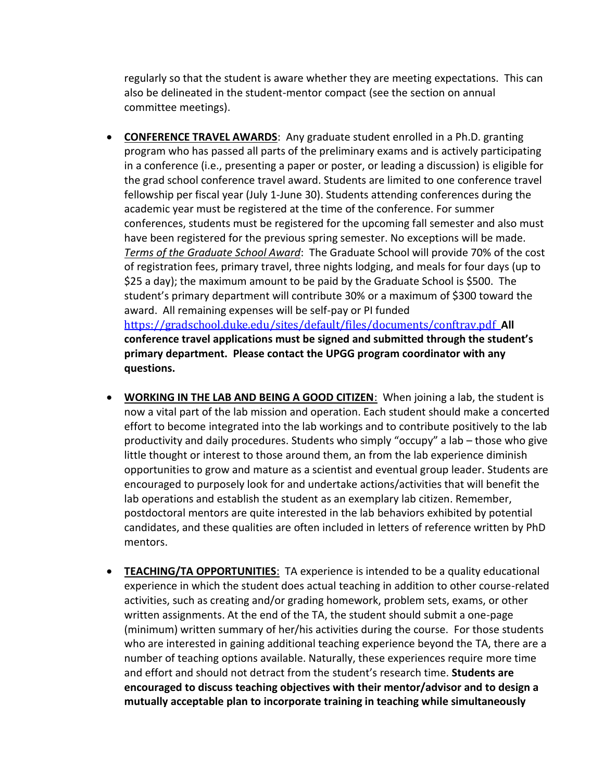regularly so that the student is aware whether they are meeting expectations. This can also be delineated in the student-mentor compact (see the section on annual committee meetings).

- **CONFERENCE TRAVEL AWARDS**: Any graduate student enrolled in a Ph.D. granting program who has passed all parts of the preliminary exams and is actively participating in a conference (i.e., presenting a paper or poster, or leading a discussion) is eligible for the grad school conference travel award. Students are limited to one conference travel fellowship per fiscal year (July 1-June 30). Students attending conferences during the academic year must be registered at the time of the conference. For summer conferences, students must be registered for the upcoming fall semester and also must have been registered for the previous spring semester. No exceptions will be made. *Terms of the Graduate School Award*: The Graduate School will provide 70% of the cost of registration fees, primary travel, three nights lodging, and meals for four days (up to \$25 a day); the maximum amount to be paid by the Graduate School is \$500. The student's primary department will contribute 30% or a maximum of \$300 toward the award. All remaining expenses will be self-pay or PI funded <https://gradschool.duke.edu/sites/default/files/documents/conftrav.pdf>**All conference travel applications must be signed and submitted through the student's primary department. Please contact the UPGG program coordinator with any questions.**
- **WORKING IN THE LAB AND BEING A GOOD CITIZEN**: When joining a lab, the student is now a vital part of the lab mission and operation. Each student should make a concerted effort to become integrated into the lab workings and to contribute positively to the lab productivity and daily procedures. Students who simply "occupy" a lab – those who give little thought or interest to those around them, an from the lab experience diminish opportunities to grow and mature as a scientist and eventual group leader. Students are encouraged to purposely look for and undertake actions/activities that will benefit the lab operations and establish the student as an exemplary lab citizen. Remember, postdoctoral mentors are quite interested in the lab behaviors exhibited by potential candidates, and these qualities are often included in letters of reference written by PhD mentors.
- **TEACHING/TA OPPORTUNITIES**: TA experience is intended to be a quality educational experience in which the student does actual teaching in addition to other course-related activities, such as creating and/or grading homework, problem sets, exams, or other written assignments. At the end of the TA, the student should submit a one-page (minimum) written summary of her/his activities during the course. For those students who are interested in gaining additional teaching experience beyond the TA, there are a number of teaching options available. Naturally, these experiences require more time and effort and should not detract from the student's research time. **Students are encouraged to discuss teaching objectives with their mentor/advisor and to design a mutually acceptable plan to incorporate training in teaching while simultaneously**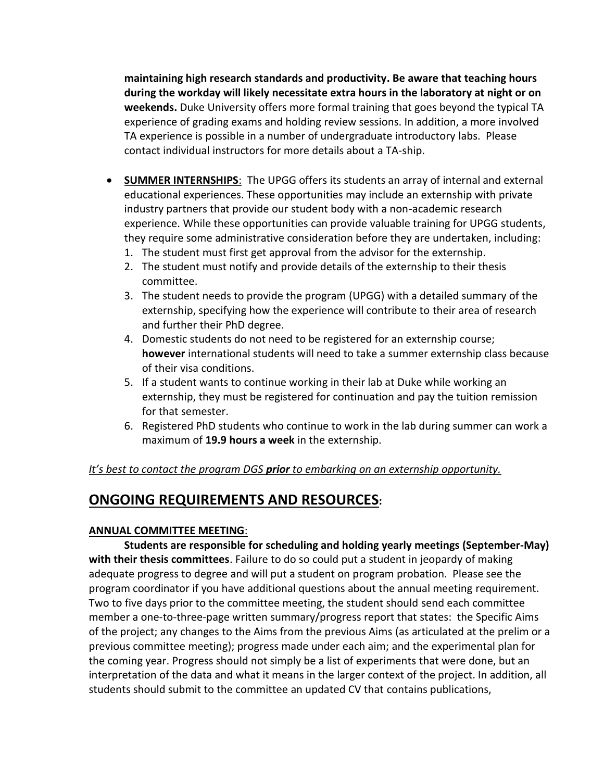**maintaining high research standards and productivity. Be aware that teaching hours during the workday will likely necessitate extra hours in the laboratory at night or on weekends.** Duke University offers more formal training that goes beyond the typical TA experience of grading exams and holding review sessions. In addition, a more involved TA experience is possible in a number of undergraduate introductory labs. Please contact individual instructors for more details about a TA-ship.

- **SUMMER INTERNSHIPS**: The UPGG offers its students an array of internal and external educational experiences. These opportunities may include an externship with private industry partners that provide our student body with a non-academic research experience. While these opportunities can provide valuable training for UPGG students, they require some administrative consideration before they are undertaken, including:
	- 1. The student must first get approval from the advisor for the externship.
	- 2. The student must notify and provide details of the externship to their thesis committee.
	- 3. The student needs to provide the program (UPGG) with a detailed summary of the externship, specifying how the experience will contribute to their area of research and further their PhD degree.
	- 4. Domestic students do not need to be registered for an externship course; **however** international students will need to take a summer externship class because of their visa conditions.
	- 5. If a student wants to continue working in their lab at Duke while working an externship, they must be registered for continuation and pay the tuition remission for that semester.
	- 6. Registered PhD students who continue to work in the lab during summer can work a maximum of **19.9 hours a week** in the externship.

## *It's best to contact the program DGS prior to embarking on an externship opportunity.*

## **ONGOING REQUIREMENTS AND RESOURCES:**

## **ANNUAL COMMITTEE MEETING**:

**Students are responsible for scheduling and holding yearly meetings (September-May) with their thesis committees**. Failure to do so could put a student in jeopardy of making adequate progress to degree and will put a student on program probation. Please see the program coordinator if you have additional questions about the annual meeting requirement. Two to five days prior to the committee meeting, the student should send each committee member a one-to-three-page written summary/progress report that states: the Specific Aims of the project; any changes to the Aims from the previous Aims (as articulated at the prelim or a previous committee meeting); progress made under each aim; and the experimental plan for the coming year. Progress should not simply be a list of experiments that were done, but an interpretation of the data and what it means in the larger context of the project. In addition, all students should submit to the committee an updated CV that contains publications,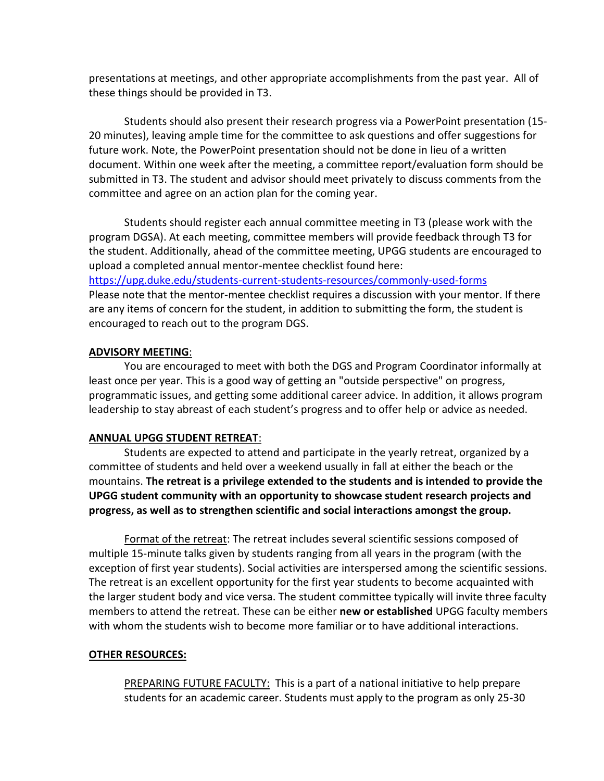presentations at meetings, and other appropriate accomplishments from the past year. All of these things should be provided in T3.

Students should also present their research progress via a PowerPoint presentation (15- 20 minutes), leaving ample time for the committee to ask questions and offer suggestions for future work. Note, the PowerPoint presentation should not be done in lieu of a written document. Within one week after the meeting, a committee report/evaluation form should be submitted in T3. The student and advisor should meet privately to discuss comments from the committee and agree on an action plan for the coming year.

Students should register each annual committee meeting in T3 (please work with the program DGSA). At each meeting, committee members will provide feedback through T3 for the student. Additionally, ahead of the committee meeting, UPGG students are encouraged to upload a completed annual mentor-mentee checklist found here:

<https://upg.duke.edu/students-current-students-resources/commonly-used-forms> Please note that the mentor-mentee checklist requires a discussion with your mentor. If there are any items of concern for the student, in addition to submitting the form, the student is encouraged to reach out to the program DGS.

## **ADVISORY MEETING**:

You are encouraged to meet with both the DGS and Program Coordinator informally at least once per year. This is a good way of getting an "outside perspective" on progress, programmatic issues, and getting some additional career advice. In addition, it allows program leadership to stay abreast of each student's progress and to offer help or advice as needed.

## **ANNUAL UPGG STUDENT RETREAT**:

Students are expected to attend and participate in the yearly retreat, organized by a committee of students and held over a weekend usually in fall at either the beach or the mountains. **The retreat is a privilege extended to the students and is intended to provide the UPGG student community with an opportunity to showcase student research projects and progress, as well as to strengthen scientific and social interactions amongst the group.**

Format of the retreat: The retreat includes several scientific sessions composed of multiple 15-minute talks given by students ranging from all years in the program (with the exception of first year students). Social activities are interspersed among the scientific sessions. The retreat is an excellent opportunity for the first year students to become acquainted with the larger student body and vice versa. The student committee typically will invite three faculty members to attend the retreat. These can be either **new or established** UPGG faculty members with whom the students wish to become more familiar or to have additional interactions.

## **OTHER RESOURCES:**

PREPARING FUTURE FACULTY: This is a part of a national initiative to help prepare students for an academic career. Students must apply to the program as only 25-30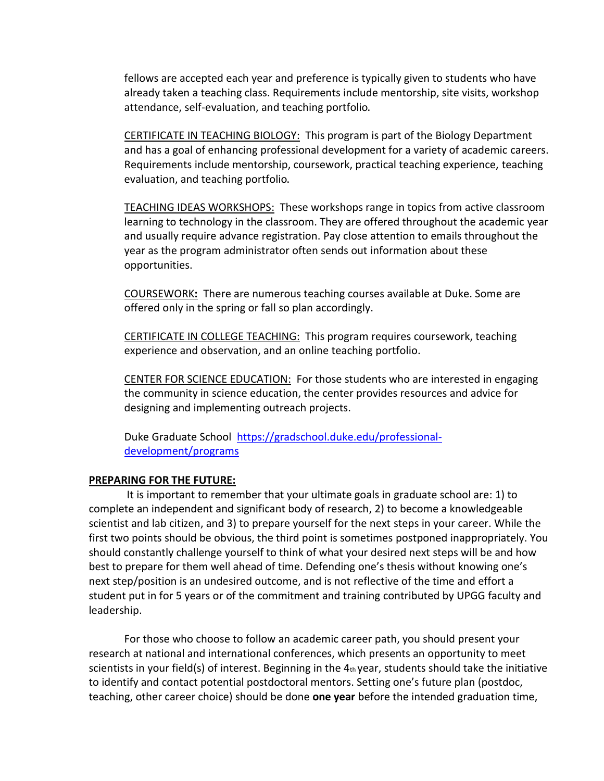fellows are accepted each year and preference is typically given to students who have already taken a teaching class. Requirements include mentorship, site visits, workshop attendance, self-evaluation, and teaching portfolio.

CERTIFICATE IN TEACHING BIOLOGY: This program is part of the Biology Department and has a goal of enhancing professional development for a variety of academic careers. Requirements include mentorship, coursework, practical teaching experience, teaching evaluation, and teaching portfolio.

TEACHING IDEAS WORKSHOPS: These workshops range in topics from active classroom learning to technology in the classroom. They are offered throughout the academic year and usually require advance registration. Pay close attention to emails throughout the year as the program administrator often sends out information about these opportunities.

COURSEWORK**:** There are numerous teaching courses available at Duke. Some are offered only in the spring or fall so plan accordingly.

CERTIFICATE IN COLLEGE TEACHING: This program requires coursework, teaching experience and observation, and an online teaching portfolio.

CENTER FOR SCIENCE EDUCATION: For those students who are interested in engaging the community in science education, the center provides resources and advice for designing and implementing outreach projects.

Duke Graduate School [https://gradschool.duke.edu/professional](https://gradschool.duke.edu/professional-development/programs)[development/programs](https://gradschool.duke.edu/professional-development/programs)

## **PREPARING FOR THE FUTURE:**

It is important to remember that your ultimate goals in graduate school are: 1) to complete an independent and significant body of research, 2) to become a knowledgeable scientist and lab citizen, and 3) to prepare yourself for the next steps in your career. While the first two points should be obvious, the third point is sometimes postponed inappropriately. You should constantly challenge yourself to think of what your desired next steps will be and how best to prepare for them well ahead of time. Defending one's thesis without knowing one's next step/position is an undesired outcome, and is not reflective of the time and effort a student put in for 5 years or of the commitment and training contributed by UPGG faculty and leadership.

For those who choose to follow an academic career path, you should present your research at national and international conferences, which presents an opportunity to meet scientists in your field(s) of interest. Beginning in the  $4<sub>th</sub>$  year, students should take the initiative to identify and contact potential postdoctoral mentors. Setting one's future plan (postdoc, teaching, other career choice) should be done **one year** before the intended graduation time,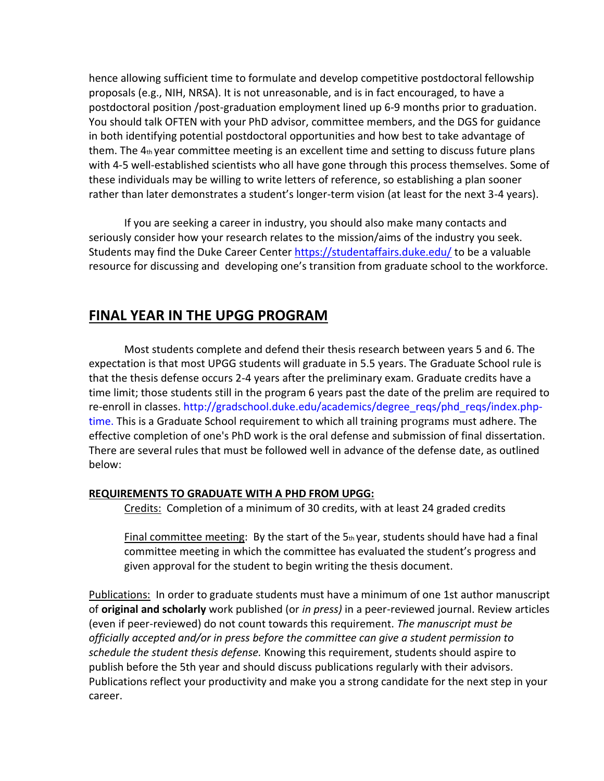hence allowing sufficient time to formulate and develop competitive postdoctoral fellowship proposals (e.g., NIH, NRSA). It is not unreasonable, and is in fact encouraged, to have a postdoctoral position /post-graduation employment lined up 6-9 months prior to graduation. You should talk OFTEN with your PhD advisor, committee members, and the DGS for guidance in both identifying potential postdoctoral opportunities and how best to take advantage of them. The  $4<sub>th</sub>$  year committee meeting is an excellent time and setting to discuss future plans with 4-5 well-established scientists who all have gone through this process themselves. Some of these individuals may be willing to write letters of reference, so establishing a plan sooner rather than later demonstrates a student's longer-term vision (at least for the next 3-4 years).

If you are seeking a career in industry, you should also make many contacts and seriously consider how your research relates to the mission/aims of the industry you seek. Students may find the Duke Career Center <https://studentaffairs.duke.edu/> to be a valuable resource for discussing and developing one's transition from graduate school to the workforce.

# **FINAL YEAR IN THE UPGG PROGRAM**

Most students complete and defend their thesis research between years 5 and 6. The expectation is that most UPGG students will graduate in 5.5 years. The Graduate School rule is that the thesis defense occurs 2-4 years after the preliminary exam. Graduate credits have a time limit; those students still in the program 6 years past the date of the prelim are required to re-enroll in classes. http://gradschool.duke.edu/academics/degree\_reqs/phd\_reqs/index.phptime. This is a Graduate School requirement to which all training programs must adhere. The effective completion of one's PhD work is the oral defense and submission of final dissertation. There are several rules that must be followed well in advance of the defense date, as outlined below:

## **REQUIREMENTS TO GRADUATE WITH A PHD FROM UPGG:**

Credits: Completion of a minimum of 30 credits, with at least 24 graded credits

Final committee meeting: By the start of the  $5<sub>th</sub>$  year, students should have had a final committee meeting in which the committee has evaluated the student's progress and given approval for the student to begin writing the thesis document.

Publications: In order to graduate students must have a minimum of one 1st author manuscript of **original and scholarly** work published (or *in press)* in a peer-reviewed journal. Review articles (even if peer-reviewed) do not count towards this requirement. *The manuscript must be officially accepted and/or in press before the committee can give a student permission to schedule the student thesis defense.* Knowing this requirement, students should aspire to publish before the 5th year and should discuss publications regularly with their advisors. Publications reflect your productivity and make you a strong candidate for the next step in your career.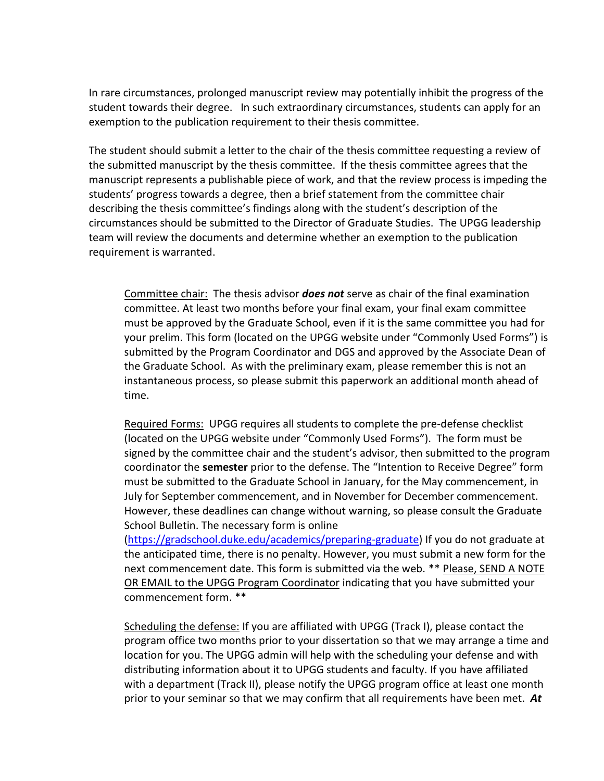In rare circumstances, prolonged manuscript review may potentially inhibit the progress of the student towards their degree. In such extraordinary circumstances, students can apply for an exemption to the publication requirement to their thesis committee.

The student should submit a letter to the chair of the thesis committee requesting a review of the submitted manuscript by the thesis committee. If the thesis committee agrees that the manuscript represents a publishable piece of work, and that the review process is impeding the students' progress towards a degree, then a brief statement from the committee chair describing the thesis committee's findings along with the student's description of the circumstances should be submitted to the Director of Graduate Studies. The UPGG leadership team will review the documents and determine whether an exemption to the publication requirement is warranted.

Committee chair: The thesis advisor *does not* serve as chair of the final examination committee. At least two months before your final exam, your final exam committee must be approved by the Graduate School, even if it is the same committee you had for your prelim. This form (located on the UPGG website under "Commonly Used Forms") is submitted by the Program Coordinator and DGS and approved by the Associate Dean of the Graduate School. As with the preliminary exam, please remember this is not an instantaneous process, so please submit this paperwork an additional month ahead of time.

Required Forms: UPGG requires all students to complete the pre-defense checklist (located on the UPGG website under "Commonly Used Forms"). The form must be signed by the committee chair and the student's advisor, then submitted to the program coordinator the **semester** prior to the defense. The "Intention to Receive Degree" form must be submitted to the Graduate School in January, for the May commencement, in July for September commencement, and in November for December commencement. However, these deadlines can change without warning, so please consult the Graduate School Bulletin. The necessary form is online

[\(https://gradschool.duke.edu/academics/preparing-graduate\)](https://gradschool.duke.edu/academics/preparing-graduate) If you do not graduate at the anticipated time, there is no penalty. However, you must submit a new form for the next commencement date. This form is submitted via the web. \*\* Please, SEND A NOTE OR EMAIL to the UPGG Program Coordinator indicating that you have submitted your commencement form. \*\*

Scheduling the defense: If you are affiliated with UPGG (Track I), please contact the program office two months prior to your dissertation so that we may arrange a time and location for you. The UPGG admin will help with the scheduling your defense and with distributing information about it to UPGG students and faculty. If you have affiliated with a department (Track II), please notify the UPGG program office at least one month prior to your seminar so that we may confirm that all requirements have been met. *At*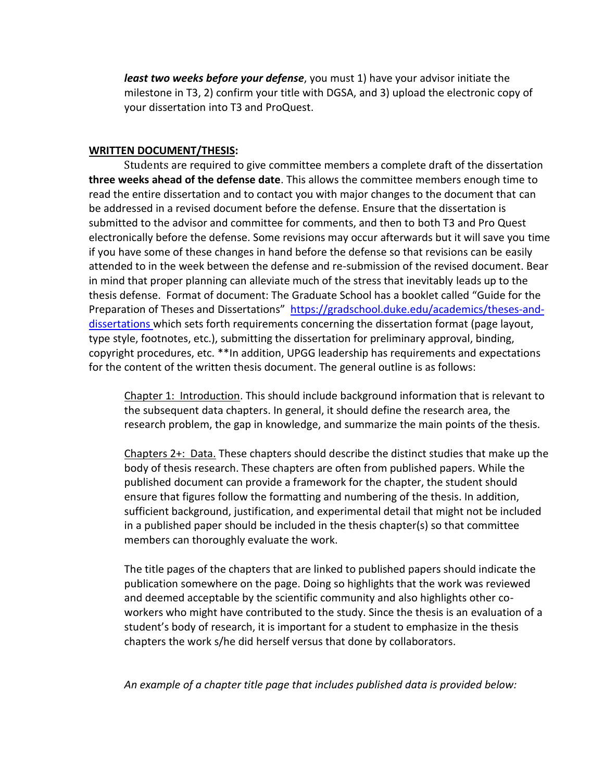*least two weeks before your defense*, you must 1) have your advisor initiate the milestone in T3, 2) confirm your title with DGSA, and 3) upload the electronic copy of your dissertation into T3 and ProQuest.

## **WRITTEN DOCUMENT/THESIS:**

Students are required to give committee members a complete draft of the dissertation **three weeks ahead of the defense date**. This allows the committee members enough time to read the entire dissertation and to contact you with major changes to the document that can be addressed in a revised document before the defense. Ensure that the dissertation is submitted to the advisor and committee for comments, and then to both T3 and Pro Quest electronically before the defense. Some revisions may occur afterwards but it will save you time if you have some of these changes in hand before the defense so that revisions can be easily attended to in the week between the defense and re-submission of the revised document. Bear in mind that proper planning can alleviate much of the stress that inevitably leads up to the thesis defense. Format of document: The Graduate School has a booklet called "Guide for the Preparation of Theses and Dissertations" [https://gradschool.duke.edu/academics/theses-and](https://gradschool.duke.edu/academics/theses-and-dissertations)[dissertations](https://gradschool.duke.edu/academics/theses-and-dissertations) which sets forth requirements concerning the dissertation format (page layout, type style, footnotes, etc.), submitting the dissertation for preliminary approval, binding, copyright procedures, etc. \*\*In addition, UPGG leadership has requirements and expectations for the content of the written thesis document. The general outline is as follows:

Chapter 1: Introduction. This should include background information that is relevant to the subsequent data chapters. In general, it should define the research area, the research problem, the gap in knowledge, and summarize the main points of the thesis.

Chapters 2+: Data. These chapters should describe the distinct studies that make up the body of thesis research. These chapters are often from published papers. While the published document can provide a framework for the chapter, the student should ensure that figures follow the formatting and numbering of the thesis. In addition, sufficient background, justification, and experimental detail that might not be included in a published paper should be included in the thesis chapter(s) so that committee members can thoroughly evaluate the work.

The title pages of the chapters that are linked to published papers should indicate the publication somewhere on the page. Doing so highlights that the work was reviewed and deemed acceptable by the scientific community and also highlights other coworkers who might have contributed to the study. Since the thesis is an evaluation of a student's body of research, it is important for a student to emphasize in the thesis chapters the work s/he did herself versus that done by collaborators.

*An example of a chapter title page that includes published data is provided below:*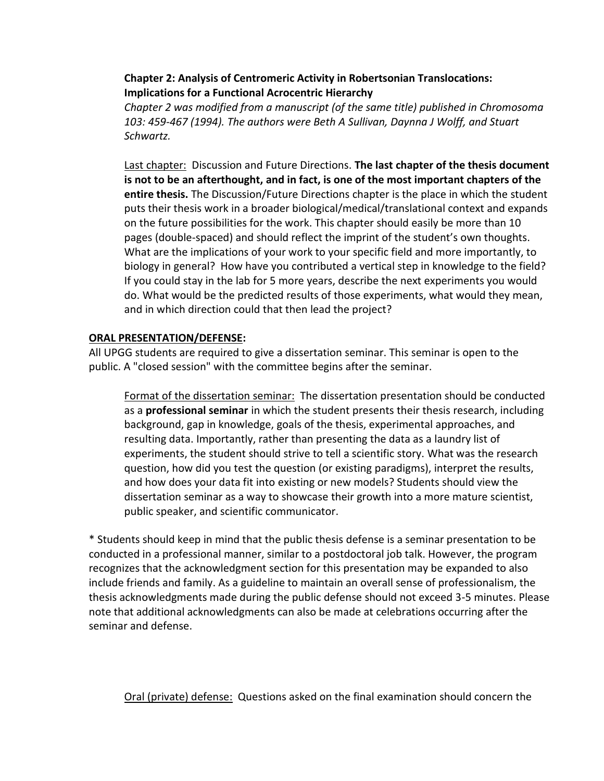## **Chapter 2: Analysis of Centromeric Activity in Robertsonian Translocations: Implications for a Functional Acrocentric Hierarchy**

*Chapter 2 was modified from a manuscript (of the same title) published in Chromosoma 103: 459-467 (1994). The authors were Beth A Sullivan, Daynna J Wolff, and Stuart Schwartz.*

Last chapter: Discussion and Future Directions. **The last chapter of the thesis document is not to be an afterthought, and in fact, is one of the most important chapters of the entire thesis.** The Discussion/Future Directions chapter is the place in which the student puts their thesis work in a broader biological/medical/translational context and expands on the future possibilities for the work. This chapter should easily be more than 10 pages (double-spaced) and should reflect the imprint of the student's own thoughts. What are the implications of your work to your specific field and more importantly, to biology in general? How have you contributed a vertical step in knowledge to the field? If you could stay in the lab for 5 more years, describe the next experiments you would do. What would be the predicted results of those experiments, what would they mean, and in which direction could that then lead the project?

## **ORAL PRESENTATION/DEFENSE:**

All UPGG students are required to give a dissertation seminar. This seminar is open to the public. A "closed session" with the committee begins after the seminar.

Format of the dissertation seminar: The dissertation presentation should be conducted as a **professional seminar** in which the student presents their thesis research, including background, gap in knowledge, goals of the thesis, experimental approaches, and resulting data. Importantly, rather than presenting the data as a laundry list of experiments, the student should strive to tell a scientific story. What was the research question, how did you test the question (or existing paradigms), interpret the results, and how does your data fit into existing or new models? Students should view the dissertation seminar as a way to showcase their growth into a more mature scientist, public speaker, and scientific communicator.

\* Students should keep in mind that the public thesis defense is a seminar presentation to be conducted in a professional manner, similar to a postdoctoral job talk. However, the program recognizes that the acknowledgment section for this presentation may be expanded to also include friends and family. As a guideline to maintain an overall sense of professionalism, the thesis acknowledgments made during the public defense should not exceed 3-5 minutes. Please note that additional acknowledgments can also be made at celebrations occurring after the seminar and defense.

Oral (private) defense: Questions asked on the final examination should concern the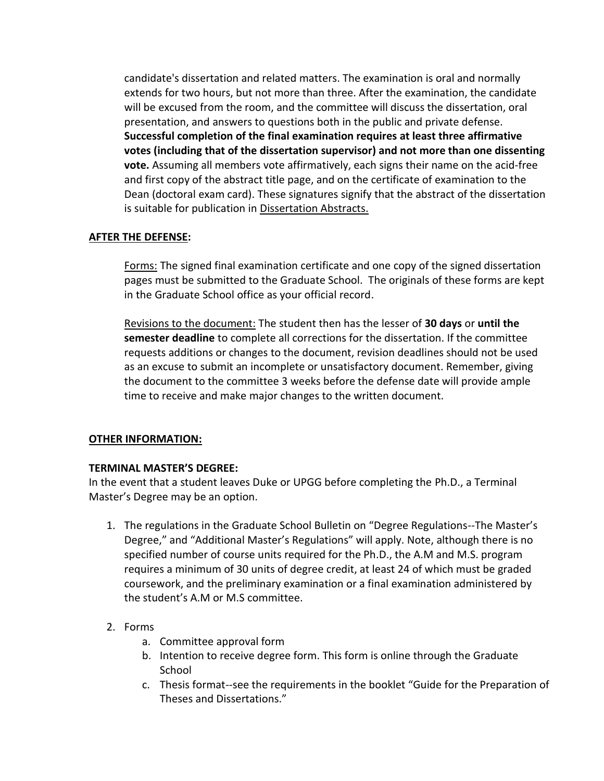candidate's dissertation and related matters. The examination is oral and normally extends for two hours, but not more than three. After the examination, the candidate will be excused from the room, and the committee will discuss the dissertation, oral presentation, and answers to questions both in the public and private defense. **Successful completion of the final examination requires at least three affirmative votes (including that of the dissertation supervisor) and not more than one dissenting vote.** Assuming all members vote affirmatively, each signs their name on the acid-free and first copy of the abstract title page, and on the certificate of examination to the Dean (doctoral exam card). These signatures signify that the abstract of the dissertation is suitable for publication in Dissertation Abstracts.

## **AFTER THE DEFENSE:**

Forms: The signed final examination certificate and one copy of the signed dissertation pages must be submitted to the Graduate School. The originals of these forms are kept in the Graduate School office as your official record.

Revisions to the document: The student then has the lesser of **30 days** or **until the semester deadline** to complete all corrections for the dissertation. If the committee requests additions or changes to the document, revision deadlines should not be used as an excuse to submit an incomplete or unsatisfactory document. Remember, giving the document to the committee 3 weeks before the defense date will provide ample time to receive and make major changes to the written document.

## **OTHER INFORMATION:**

## **TERMINAL MASTER'S DEGREE:**

In the event that a student leaves Duke or UPGG before completing the Ph.D., a Terminal Master's Degree may be an option.

- 1. The regulations in the Graduate School Bulletin on "Degree Regulations--The Master's Degree," and "Additional Master's Regulations" will apply. Note, although there is no specified number of course units required for the Ph.D., the A.M and M.S. program requires a minimum of 30 units of degree credit, at least 24 of which must be graded coursework, and the preliminary examination or a final examination administered by the student's A.M or M.S committee.
- 2. Forms
	- a. Committee approval form
	- b. Intention to receive degree form. This form is online through the Graduate School
	- c. Thesis format--see the requirements in the booklet "Guide for the Preparation of Theses and Dissertations."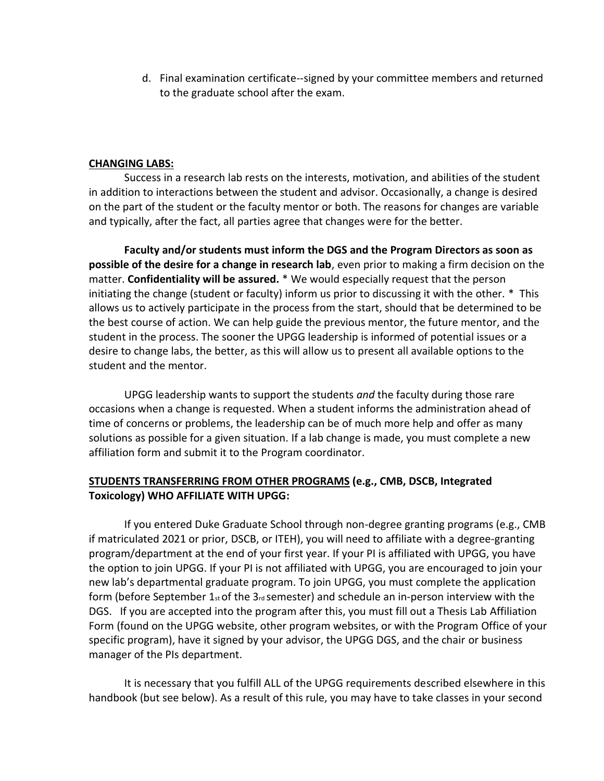d. Final examination certificate--signed by your committee members and returned to the graduate school after the exam.

## **CHANGING LABS:**

Success in a research lab rests on the interests, motivation, and abilities of the student in addition to interactions between the student and advisor. Occasionally, a change is desired on the part of the student or the faculty mentor or both. The reasons for changes are variable and typically, after the fact, all parties agree that changes were for the better.

**Faculty and/or students must inform the DGS and the Program Directors as soon as possible of the desire for a change in research lab**, even prior to making a firm decision on the matter. **Confidentiality will be assured.** \* We would especially request that the person initiating the change (student or faculty) inform us prior to discussing it with the other. \* This allows us to actively participate in the process from the start, should that be determined to be the best course of action. We can help guide the previous mentor, the future mentor, and the student in the process. The sooner the UPGG leadership is informed of potential issues or a desire to change labs, the better, as this will allow us to present all available options to the student and the mentor.

UPGG leadership wants to support the students *and* the faculty during those rare occasions when a change is requested. When a student informs the administration ahead of time of concerns or problems, the leadership can be of much more help and offer as many solutions as possible for a given situation. If a lab change is made, you must complete a new affiliation form and submit it to the Program coordinator.

## **STUDENTS TRANSFERRING FROM OTHER PROGRAMS (e.g., CMB, DSCB, Integrated Toxicology) WHO AFFILIATE WITH UPGG:**

If you entered Duke Graduate School through non-degree granting programs (e.g., CMB if matriculated 2021 or prior, DSCB, or ITEH), you will need to affiliate with a degree-granting program/department at the end of your first year. If your PI is affiliated with UPGG, you have the option to join UPGG. If your PI is not affiliated with UPGG, you are encouraged to join your new lab's departmental graduate program. To join UPGG, you must complete the application form (before September  $1_{st}$  of the  $3_{rd}$  semester) and schedule an in-person interview with the DGS. If you are accepted into the program after this, you must fill out a Thesis Lab Affiliation Form (found on the UPGG website, other program websites, or with the Program Office of your specific program), have it signed by your advisor, the UPGG DGS, and the chair or business manager of the PIs department.

It is necessary that you fulfill ALL of the UPGG requirements described elsewhere in this handbook (but see below). As a result of this rule, you may have to take classes in your second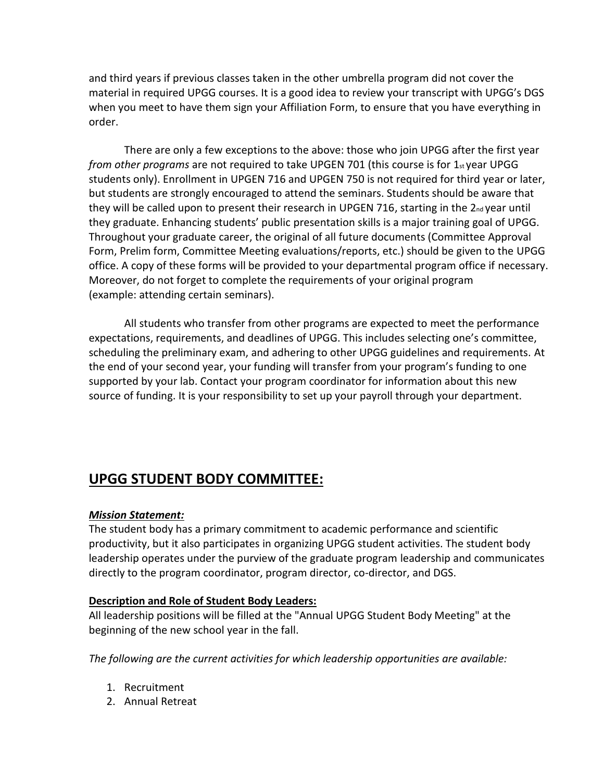and third years if previous classes taken in the other umbrella program did not cover the material in required UPGG courses. It is a good idea to review your transcript with UPGG's DGS when you meet to have them sign your Affiliation Form, to ensure that you have everything in order.

There are only a few exceptions to the above: those who join UPGG after the first year *from other programs* are not required to take UPGEN 701 (this course is for 1st year UPGG students only). Enrollment in UPGEN 716 and UPGEN 750 is not required for third year or later, but students are strongly encouraged to attend the seminars. Students should be aware that they will be called upon to present their research in UPGEN 716, starting in the  $2<sub>nd</sub>$  year until they graduate. Enhancing students' public presentation skills is a major training goal of UPGG. Throughout your graduate career, the original of all future documents (Committee Approval Form, Prelim form, Committee Meeting evaluations/reports, etc.) should be given to the UPGG office. A copy of these forms will be provided to your departmental program office if necessary. Moreover, do not forget to complete the requirements of your original program (example: attending certain seminars).

All students who transfer from other programs are expected to meet the performance expectations, requirements, and deadlines of UPGG. This includes selecting one's committee, scheduling the preliminary exam, and adhering to other UPGG guidelines and requirements. At the end of your second year, your funding will transfer from your program's funding to one supported by your lab. Contact your program coordinator for information about this new source of funding. It is your responsibility to set up your payroll through your department.

# **UPGG STUDENT BODY COMMITTEE:**

## *Mission Statement:*

The student body has a primary commitment to academic performance and scientific productivity, but it also participates in organizing UPGG student activities. The student body leadership operates under the purview of the graduate program leadership and communicates directly to the program coordinator, program director, co-director, and DGS.

## **Description and Role of Student Body Leaders:**

All leadership positions will be filled at the "Annual UPGG Student Body Meeting" at the beginning of the new school year in the fall.

*The following are the current activities for which leadership opportunities are available:*

- 1. Recruitment
- 2. Annual Retreat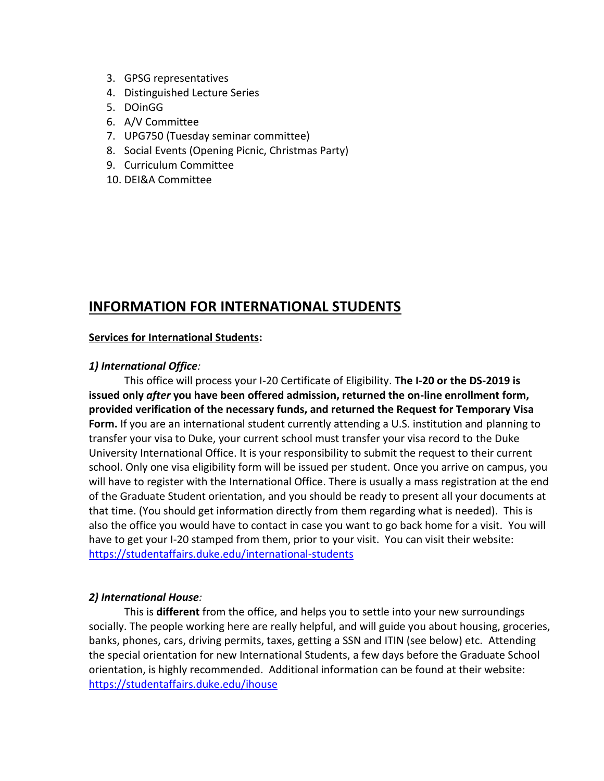- 3. GPSG representatives
- 4. Distinguished Lecture Series
- 5. DOinGG
- 6. A/V Committee
- 7. UPG750 (Tuesday seminar committee)
- 8. Social Events (Opening Picnic, Christmas Party)
- 9. Curriculum Committee
- 10. DEI&A Committee

# **INFORMATION FOR INTERNATIONAL STUDENTS**

## **Services for International Students:**

## *1) International Office:*

This office will process your I-20 Certificate of Eligibility. **The I-20 or the DS-2019 is issued only** *after* **you have been offered admission, returned the on-line enrollment form, provided verification of the necessary funds, and returned the Request for Temporary Visa Form.** If you are an international student currently attending a U.S. institution and planning to transfer your visa to Duke, your current school must transfer your visa record to the Duke University International Office. It is your responsibility to submit the request to their current school. Only one visa eligibility form will be issued per student. Once you arrive on campus, you will have to register with the International Office. There is usually a mass registration at the end of the Graduate Student orientation, and you should be ready to present all your documents at that time. (You should get information directly from them regarding what is needed). This is also the office you would have to contact in case you want to go back home for a visit. You will have to get your I-20 stamped from them, prior to your visit. You can visit their website: <https://studentaffairs.duke.edu/international-students>

## *2) International House:*

This is **different** from the office, and helps you to settle into your new surroundings socially. The people working here are really helpful, and will guide you about housing, groceries, banks, phones, cars, driving permits, taxes, getting a SSN and ITIN (see below) etc. Attending the special orientation for new International Students, a few days before the Graduate School orientation, is highly recommended. Additional information can be found at their website: <https://studentaffairs.duke.edu/ihouse>